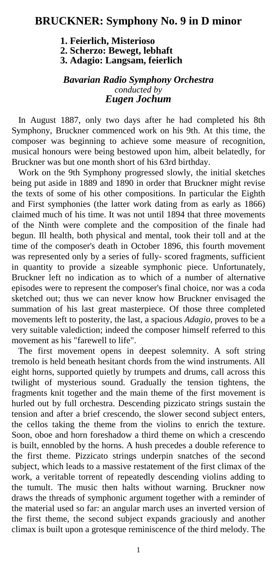## **BRUCKNER: Symphony No. 9 in D minor**

 **1. Feierlich, Misterioso 2. Scherzo: Bewegt, lebhaft 3. Adagio: Langsam, feierlich** 

## *Bavarian Radio Symphony Orchestra conducted by Eugen Jochum*

 In August 1887, only two days after he had completed his 8th Symphony, Bruckner commenced work on his 9th. At this time, the composer was beginning to achieve some measure of recognition, musical honours were being bestowed upon him, albeit belatedly, for Bruckner was but one month short of his 63rd birthday.

 Work on the 9th Symphony progressed slowly, the initial sketches being put aside in 1889 and 1890 in order that Bruckner might revise the texts of some of his other compositions. In particular the Eighth and First symphonies (the latter work dating from as early as 1866) claimed much of his time. It was not until 1894 that three movements of the Ninth were complete and the composition of the finale had begun. Ill health, both physical and mental, took their toll and at the time of the composer's death in October 1896, this fourth movement was represented only by a series of fully- scored fragments, sufficient in quantity to provide a sizeable symphonic piece. Unfortunately, Bruckner left no indication as to which of a number of alternative episodes were to represent the composer's final choice, nor was a coda sketched out; thus we can never know how Bruckner envisaged the summation of his last great masterpiece. Of those three completed movements left to posterity, the last, a spacious *Adagio,* proves to be a very suitable valediction; indeed the composer himself referred to this movement as his "farewell to life".

 The first movement opens in deepest solemnity. A soft string tremolo is held beneath hesitant chords from the wind instruments. All eight horns, supported quietly by trumpets and drums, call across this twilight of mysterious sound. Gradually the tension tightens, the fragments knit together and the main theme of the first movement is hurled out by full orchestra. Descending pizzicato strings sustain the tension and after a brief crescendo, the slower second subject enters, the cellos taking the theme from the violins to enrich the texture. Soon, oboe and horn foreshadow a third theme on which a crescendo is built, ennobled by the horns. A hush precedes a double reference to the first theme. Pizzicato strings underpin snatches of the second subject, which leads to a massive restatement of the first climax of the work, a veritable torrent of repeatedly descending violins adding to the tumult. The music then halts without warning. Bruckner now draws the threads of symphonic argument together with a reminder of the material used so far: an angular march uses an inverted version of the first theme, the second subject expands graciously and another climax is built upon a grotesque reminiscence of the third melody. The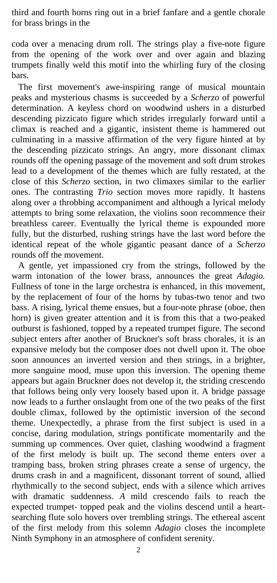third and fourth horns ring out in a brief fanfare and a gentle chorale for brass brings in the

coda over a menacing drum roll. The strings play a five-note figure from the opening of the work over and over again and blazing trumpets finally weld this motif into the whirling fury of the closing bars.

 The first movement's awe-inspiring range of musical mountain peaks and mysterious chasms is succeeded by a *Scherzo* of powerful determination. A keyless chord on woodwind ushers in a disturbed descending pizzicato figure which strides irregularly forward until a climax is reached and a gigantic, insistent theme is hammered out culminating in a massive affirmation of the very figure hinted at by the descending pizzicato strings. An angry, more dissonant climax rounds off the opening passage of the movement and soft drum strokes lead to a development of the themes which are fully restated, at the close of this *Scherzo* section, in two climaxes similar to the earlier ones. The contrasting *Trio* section moves more rapidly. It hastens along over a throbbing accompaniment and although a lyrical melody attempts to bring some relaxation, the violins soon recommence their breathless career. Eventually the lyrical theme is expounded more fully, but the disturbed, rushing strings have the last word before the identical repeat of the whole gigantic peasant dance of a *Scherzo*  rounds off the movement.

 A gentle, yet impassioned cry from the strings, followed by the warm intonation of the lower brass, announces the great *Adagio.*  Fullness of tone in the large orchestra is enhanced, in this movement, by the replacement of four of the horns by tubas-two tenor and two bass. A rising, lyrical theme ensues, but a four-note phrase (oboe, then horn) is given greater attention and it is from this that a two-peaked outburst is fashioned, topped by a repeated trumpet figure. The second subject enters after another of Bruckner's soft brass chorales, it is an expansive melody but the composer does not dwell upon it. The oboe soon announces an inverted version and then strings, in a brighter, more sanguine mood, muse upon this inversion. The opening theme appears but again Bruckner does not develop it, the striding crescendo that follows being only very loosely based upon it. A bridge passage now leads to a further onslaught from one of the two peaks of the first double climax, followed by the optimistic inversion of the second theme. Unexpectedly, a phrase from the first subject is used in a concise, daring modulation, strings pontificate momentarily and the summing up commences. Over quiet, clashing woodwind a fragment of the first melody is built up. The second theme enters over a tramping bass, broken string phrases create a sense of urgency, the drums crash in and a magnificent, dissonant torrent of sound, allied rhythmically to the second subject, ends with a silence which arrives with dramatic suddenness. *A* mild crescendo fails to reach the expected trumpet- topped peak and the violins descend until a heartsearching flute solo hovers over trembling strings. The ethereal ascent of the first melody from this solemn *Adagio* closes the incomplete Ninth Symphony in an atmosphere of confident serenity.